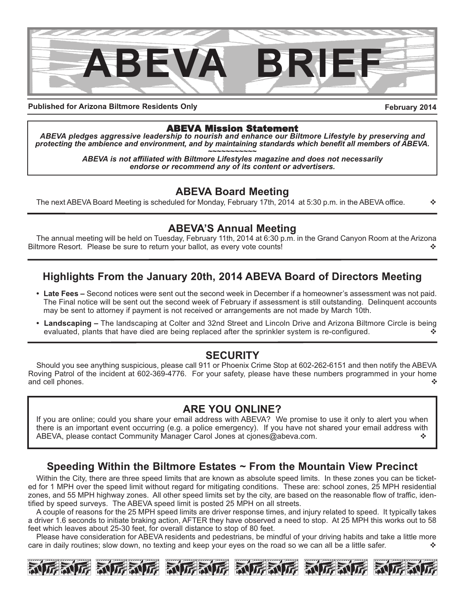

**Published for Arizona Biltmore Residents Only**

**February 2014**

## ABEVA Mission Statement

*ABEVA pledges aggressive leadership to nourish and enhance our Biltmore Lifestyle by preserving and* protecting the ambience and environment, and by maintaining standards which benefit all members of ABEVA.<br>ABEVA is not affiliated with Biltmore Lifestyles magazine and does not necessarily

*endorse or recommend any of its content or advertisers.*

## **ABEVA Board Meeting**

The next ABEVA Board Meeting is scheduled for Monday, February 17th, 2014 at 5:30 p.m. in the ABEVA office.  $\cdot\cdot\cdot\cdot$ 

## **ABEVA'S Annual Meeting**

The annual meeting will be held on Tuesday, February 11th, 2014 at 6:30 p.m. in the Grand Canyon Room at the Arizona Biltmore Resort. Please be sure to return your ballot, as every vote counts!  $\diamond$ 

## **Highlights From the January 20th, 2014 ABEVA Board of Directors Meeting**

- **Late Fees –** Second notices were sent out the second week in December if a homeowner's assessment was not paid. The Final notice will be sent out the second week of February if assessment is still outstanding. Delinquent accounts may be sent to attorney if payment is not received or arrangements are not made by March 10th.
- **Landscaping –** The landscaping at Colter and 32nd Street and Lincoln Drive and Arizona Biltmore Circle is being evaluated, plants that have died are being replaced after the sprinkler system is re-configured.  $\cdot$

## **SECURITY**

Should you see anything suspicious, please call 911 or Phoenix Crime Stop at 602-262-6151 and then notify the ABEVA Roving Patrol of the incident at 602-369-4776. For your safety, please have these numbers programmed in your home and cell phones.  $\triangle$ 

## **ARE YOU ONLINE?**

If you are online; could you share your email address with ABEVA? We promise to use it only to alert you when there is an important event occurring (e.g. a police emergency). If you have not shared your email address with ABEVA, please contact Community Manager Carol Jones at cjones@abeva.com. v  $\cdot \cdot$ 

## **Speeding Within the Biltmore Estates ~ From the Mountain View Precinct**

Within the City, there are three speed limits that are known as absolute speed limits. In these zones you can be ticketed for 1 MPH over the speed limit without regard for mitigating conditions. These are: school zones, 25 MPH residential zones, and 55 MPH highway zones. All other speed limits set by the city, are based on the reasonable flow of traffic, identified by speed surveys. The ABEVA speed limit is posted 25 MPH on all streets.

A couple of reasons for the 25 MPH speed limits are driver response times, and injury related to speed. It typically takes a driver 1.6 seconds to initiate braking action, AFTER they have observed a need to stop. At 25 MPH this works out to 58 feet which leaves about 25-30 feet, for overall distance to stop of 80 feet.

Please have consideration for ABEVA residents and pedestrians, be mindful of your driving habits and take a little more care in daily routines; slow down, no texting and keep your eyes on the road so we can all be a little safer.  $\cdot$ 

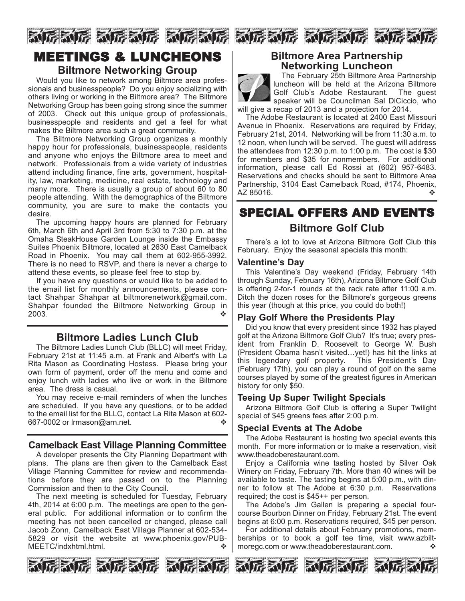

## MEETINGS & LUNCHEONS **Biltmore Networking Group**

#### Would you like to network among Biltmore area professionals and businesspeople? Do you enjoy socializing with others living or working in the Biltmore area? The Biltmore Networking Group has been going strong since the summer of 2003. Check out this unique group of professionals, businesspeople and residents and get a feel for what makes the Biltmore area such a great community.

The Biltmore Networking Group organizes a monthly happy hour for professionals, businesspeople, residents and anyone who enjoys the Biltmore area to meet and network. Professionals from a wide variety of industries attend including finance, fine arts, government, hospitality, law, marketing, medicine, real estate, technology and many more. There is usually a group of about 60 to 80 people attending. With the demographics of the Biltmore community, you are sure to make the contacts you desire.

The upcoming happy hours are planned for February 6th, March 6th and April 3rd from 5:30 to 7:30 p.m. at the Omaha SteakHouse Garden Lounge inside the Embassy Suites Phoenix Biltmore, located at 2630 East Camelback Road in Phoenix. You may call them at 602-955-3992. There is no need to RSVP, and there is never a charge to attend these events, so please feel free to stop by.

If you have any questions or would like to be added to the email list for monthly announcements, please contact Shahpar Shahpar at biltmorenetwork@gmail.com. Shahpar founded the Biltmore Networking Group in 2003. variation of  $\sim$   $\sim$   $\sim$   $\sim$   $\sim$ 

## **Biltmore Ladies Lunch Club**

The Biltmore Ladies Lunch Club (BLLC) will meet Friday, February 21st at 11:45 a.m. at Frank and Albert's with La Rita Mason as Coordinating Hostess. Please bring your own form of payment, order off the menu and come and enjoy lunch with ladies who live or work in the Biltmore area. The dress is casual.

You may receive e-mail reminders of when the lunches are scheduled. If you have any questions, or to be added to the email list for the BLLC, contact La Rita Mason at 602- 667-0002 or Irmason@arn.net.

#### **Camelback East Village Planning Committee**

A developer presents the City Planning Department with plans. The plans are then given to the Camelback East Village Planning Committee for review and recommendations before they are passed on to the Planning Commission and then to the City Council.

The next meeting is scheduled for Tuesday, February 4th, 2014 at 6:00 p.m. The meetings are open to the general public. For additional information or to confirm the meeting has not been cancelled or changed, please call Jacob Zonn, Camelback East Village Planner at 602-534- 5829 or visit the website at www.phoenix.gov/PUB-MEETC/indxhtml.html. variable with variable variable variable variable variable variable variable variable vari



#### **Biltmore Area Partnership Networking Luncheon**



The February 25th Biltmore Area Partnership luncheon will be held at the Arizona Biltmore Golf Club's Adobe Restaurant. The guest speaker will be Councilman Sal DiCiccio, who will give a recap of 2013 and a projection for 2014.

The Adobe Restaurant is located at 2400 East Missouri Avenue in Phoenix. Reservations are required by Friday, February 21st, 2014. Networking will be from 11:30 a.m. to 12 noon, when lunch will be served. The guest will address the attendees from 12:30 p.m. to 1:00 p.m. The cost is \$30 for members and \$35 for nonmembers. For additional information, please call Ed Rossi at (602) 957-6483. Reservations and checks should be sent to Biltmore Area Partnership, 3104 East Camelback Road, #174, Phoenix, AZ 85016.  $\bullet$ 

## SPECIAL OFFERS AND EVENTS **Biltmore Golf Club**

There's a lot to love at Arizona Biltmore Golf Club this February. Enjoy the seasonal specials this month:

#### **Valentine's Day**

This Valentine's Day weekend (Friday, February 14th through Sunday, February 16th), Arizona Biltmore Golf Club is offering 2-for-1 rounds at the rack rate after 11:00 a.m. Ditch the dozen roses for the Biltmore's gorgeous greens this year (though at this price, you could do both!)

#### **Play Golf Where the Presidents Play**

Did you know that every president since 1932 has played golf at the Arizona Biltmore Golf Club? It's true; every president from Franklin D. Roosevelt to George W. Bush (President Obama hasn't visited…yet!) has hit the links at this legendary golf property. This President's Day (February 17th), you can play a round of golf on the same courses played by some of the greatest figures in American history for only \$50.

#### **Teeing Up Super Twilight Specials**

Arizona Biltmore Golf Club is offering a Super Twilight special of \$45 greens fees after 2:00 p.m.

#### **Special Events at The Adobe**

The Adobe Restaurant is hosting two special events this month. For more information or to make a reservation, visit www.theadoberestaurant.com.

Enjoy a California wine tasting hosted by Silver Oak Winery on Friday, February 7th. More than 40 wines will be available to taste. The tasting begins at 5:00 p.m., with dinner to follow at The Adobe at 6:30 p.m. Reservations required; the cost is \$45++ per person.

The Adobe's Jim Gallen is preparing a special fourcourse Bourbon Dinner on Friday, February 21st. The event begins at 6:00 p.m. Reservations required, \$45 per person.

For additional details about February promotions, memberships or to book a golf tee time, visit www.azbiltmoregc.com or www.theadoberestaurant.com.  $\cdot$ 







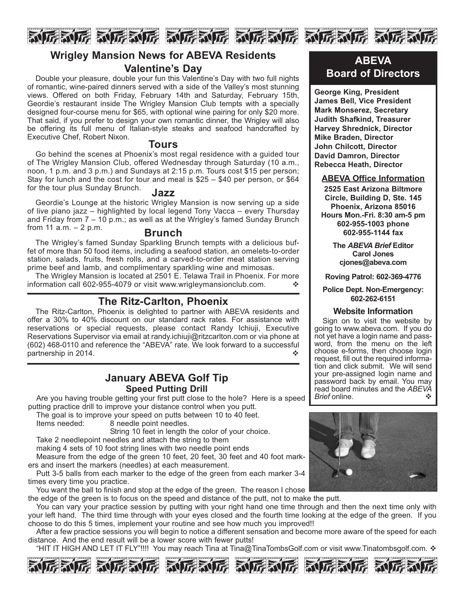

## **Wrigley Mansion News for ABEVA Residents Valentine's Day**

Double your pleasure, double your fun this Valentine's Day with two full nights of romantic, wine-paired dinners served with a side of the Valley's most stunning views. Offered on both Friday, February 14th and Saturday, February 15th, Geordie's restaurant inside The Wrigley Mansion Club tempts with a specially designed four-course menu for \$65, with optional wine pairing for only \$20 more. That said, if you prefer to design your own romantic dinner, the Wrigley will also be offering its full menu of Italian-style steaks and seafood handcrafted by Executive Chef, Robert Nixon.

#### **Tours**

Go behind the scenes at Phoenix's most regal residence with a guided tour of The Wrigley Mansion Club, offered Wednesday through Saturday (10 a.m., noon, 1 p.m. and 3 p.m.) and Sundays at 2:15 p.m. Tours cost \$15 per person; Stay for lunch and the cost for tour and meal is \$25 – \$40 per person, or \$64 for the tour plus Sunday Brunch. **Jazz**

Geordie's Lounge at the historic Wrigley Mansion is now serving up a side of live piano jazz – highlighted by local legend Tony Vacca – every Thursday and Friday from  $7 - 10$  p.m.; as well as at the Wrigley's famed Sunday Brunch from 11  $a.m. - 2 p.m.$  **Brunch** 

The Wrigley's famed Sunday Sparkling Brunch tempts with a delicious buffet of more than 50 food items, including a seafood station, an omelets-to-order station, salads, fruits, fresh rolls, and a carved-to-order meat station serving prime beef and lamb, and complimentary sparkling wine and mimosas.

The Wrigley Mansion is located at 2501 E. Telawa Trail in Phoenix. For more information call 602-955-4079 or visit www.wrigleymansionclub.com.  $\cdot\cdot\cdot$ 

## **The Ritz-Carlton, Phoenix**

The Ritz-Carlton, Phoenix is delighted to partner with ABEVA residents and offer a 30% to 40% discount on our standard rack rates. For assistance with reservations or special requests, please contact Randy Ichiuji, Executive Reservations Supervisor via email at randy.ichiuji@ritzcarlton.com or via phone at (602) 468-0110 and reference the "ABEVA" rate. We look forward to a successful partnership in 2014.

#### **January ABEVA Golf Tip Speed Putting Drill**

Are you having trouble getting your first putt close to the hole? Here is a speed putting practice drill to improve your distance control when you putt.

The goal is to improve your speed on putts between 10 to 40 feet.

Items needed: 8 needle point needles.

String 10 feet in length the color of your choice.

Take 2 needlepoint needles and attach the string to them

making 4 sets of 10 foot string lines with two needle point ends

Measure from the edge of the green 10 feet, 20 feet, 30 feet and 40 foot markers and insert the markers (needles) at each measurement.

Putt 3-5 balls from each marker to the edge of the green from each marker 3-4 times every time you practice.

You want the ball to finish and stop at the edge of the green. The reason I chose

the edge of the green is to focus on the speed and distance of the putt, not to make the putt.

You can vary your practice session by putting with your right hand one time through and then the next time only with your left hand. The third time through with your eyes closed and the fourth time looking at the edge of the green. If you choose to do this 5 times, implement your routine and see how much you improved!!

After a few practice sessions you will begin to notice a different sensation and become more aware of the speed for each distance. And the end result will be a lower score with fewer putts!

"HIT IT HIGH AND LET IT FLY"!!!! You may reach Tina at Tina@TinaTombsGolf.com or visit www.Tinatombsgolf.com. ❖













**ABEVA Board of Directors**

**George King, President James Bell, Vice President Mark Monserez, Secretary Judith Shafkind, Treasurer Harvey Shrednick, Director Mike Braden, Director John Chilcott, Director David Damron, Director Rebecca Heath, Director**

#### **ABEVA Office Information**

**2525 East Arizona Biltmore Circle, Building D, Ste. 145 Phoenix, Arizona 85016 Hours Mon.-Fri. 8:30 am-5 pm 602-955-1003 phone 602-955-1144 fax**

> **The** *ABEVA Brief* **Editor Carol Jones cjones@abeva.com**

**Roving Patrol: 602-369-4776**

#### **Police Dept. Non-Emergency: 602-262-6151**

#### **Website Information**

Sign on to visit the website by going to www.abeva.com. If you do not yet have a login name and password, from the menu on the left choose e-forms, then choose login request, fill out the required information and click submit. We will send your pre-assigned login name and password back by email. You may read board minutes and the *ABEVA*<br>Brief online. *Brief* online.